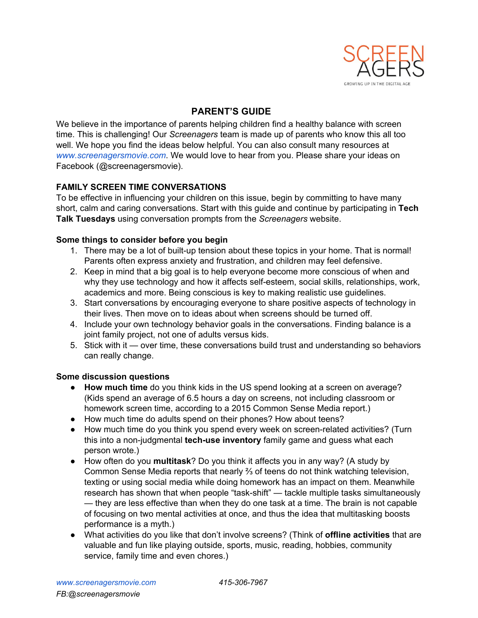

# **PARENT'S GUIDE**

We believe in the importance of parents helping children find a healthy balance with screen time. This is challenging! Our *Screenagers* team is made up of parents who know this all too well. We hope you find the ideas below helpful. You can also consult many resources at *[www.screenagersmovie.com](http://www.screenagersmovie.com/)*. We would love to hear from you. Please share your ideas on Facebook (@screenagersmovie).

## **FAMILY SCREEN TIME CONVERSATIONS**

To be effective in influencing your children on this issue, begin by committing to have many short, calm and caring conversations. Start with this guide and continue by participating in **Tech Talk Tuesdays**using conversation prompts from the *Screenagers* website.

## **Some things to consider before you begin**

- 1. There may be a lot of built-up tension about these topics in your home. That is normal! Parents often express anxiety and frustration, and children may feel defensive.
- 2. Keep in mind that a big goal is to help everyone become more conscious of when and why they use technology and how it affects self-esteem, social skills, relationships, work, academics and more. Being conscious is key to making realistic use guidelines.
- 3. Start conversations by encouraging everyone to share positive aspects of technology in their lives. Then move on to ideas about when screens should be turned off.
- 4. Include your own technology behavior goals in the conversations. Finding balance is a joint family project, not one of adults versus kids.
- 5. Stick with it over time, these conversations build trust and understanding so behaviors can really change.

### **Some discussion questions**

- **How much time**do you think kids in the US spend looking at a screen on average? (Kids spend an average of 6.5 hours a day on screens, not including classroom or homework screen time, according to a 2015 Common Sense Media report.)
- How much time do adults spend on their phones? How about teens?
- How much time do you think you spend every week on screen-related activities? (Turn this into a non-judgmental **tech-use inventory** family game and guess what each person wrote.)
- How often do you **multitask**? Do you think it affects you in any way? (A study by Common Sense Media reports that nearly ⅔ of teens do not think watching television, texting or using social media while doing homework has an impact on them. Meanwhile research has shown that when people "task-shift" — tackle multiple tasks simultaneously — they are less effective than when they do one task at a time. The brain is not capable of focusing on two mental activities at once, and thus the idea that multitasking boosts performance is a myth.)
- What activities do you like that don't involve screens? (Think of **offline activities**that are valuable and fun like playing outside, sports, music, reading, hobbies, community service, family time and even chores.)